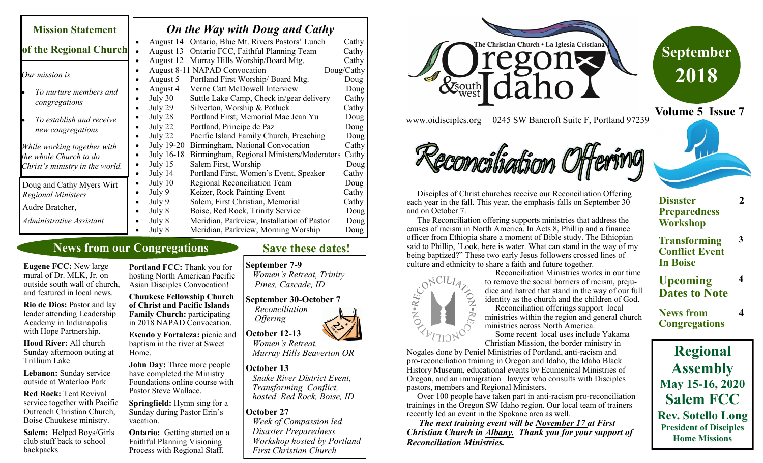| <b>Mission Statement</b>                                                                              | On the Way with Doug and Cathy                                                                                                                                                                                                                                                        |                                                |
|-------------------------------------------------------------------------------------------------------|---------------------------------------------------------------------------------------------------------------------------------------------------------------------------------------------------------------------------------------------------------------------------------------|------------------------------------------------|
| of the Regional Church                                                                                | August 14 Ontario, Blue Mt. Rivers Pastors' Lunch<br>Ontario FCC, Faithful Planning Team<br>August 13                                                                                                                                                                                 | Cathy<br>Cathy                                 |
| Our mission is<br>To nurture members and                                                              | August 12 Murray Hills Worship/Board Mtg.<br>August 8-11 NAPAD Convocation<br>Portland First Worship/Board Mtg.<br>August 5<br>Verne Catt McDowell Interview<br>August 4                                                                                                              | Cathy<br>Doug/Cathy<br>Doug<br>Doug            |
| congregations                                                                                         | July 30<br>Suttle Lake Camp, Check in/gear delivery<br>July 29<br>Silverton, Worship & Potluck                                                                                                                                                                                        | Cathy<br>Cathy                                 |
| To establish and receive<br>new congregations                                                         | Portland First, Memorial Mae Jean Yu<br>July 28<br>Portland, Principe de Paz<br>July 22<br>July 22<br>Pacific Island Family Church, Preaching                                                                                                                                         | Doug<br>Doug<br>Doug                           |
| While working together with<br>the whole Church to do<br>Christ's ministry in the world.              | July 19-20<br>Birmingham, National Convocation<br>July 16-18<br>Birmingham, Regional Ministers/Moderators<br>Salem First, Worship<br>July 15<br>Portland First, Women's Event, Speaker<br>July 14                                                                                     | Cathy<br>Cathy<br>Doug<br>Cathy                |
| Doug and Cathy Myers Wirt<br><b>Regional Ministers</b><br>Audre Bratcher,<br>Administrative Assistant | July 10<br>Regional Reconciliation Team<br>Keizer, Rock Painting Event<br>July 9<br>Salem, First Christian, Memorial<br>July 9<br>Boise, Red Rock, Trinity Service<br>July 8<br>July 8<br>Meridian, Parkview, Installation of Pastor<br>July 8<br>Meridian, Parkview, Morning Worship | Doug<br>Cathy<br>Cathy<br>Doug<br>Doug<br>Doug |

## **News from our Congregations**

**Eugene FCC:** New large mural of Dr. MLK, Jr. on outside south wall of church, and featured in local news.

**Rio de Dios:** Pastor and lay leader attending Leadership Academy in Indianapolis with Hope Partnership.

**Hood River:** All church Sunday afternoon outing at Trillium Lake

**Lebanon:** Sunday service outside at Waterloo Park

**Red Rock:** Tent Revival service together with Pacific Outreach Christian Church, Boise Chuukese ministry.

**Salem:** Helped Boys/Girls club stuff back to school backpacks

**Portland FCC:** Thank you for hosting North American Pacific Asian Disciples Convocation!

**Chuukese Fellowship Church of Christ and Pacific Islands Family Church:** participating in 2018 NAPAD Convocation.

**Escudo y Fortaleza:** picnic and baptism in the river at Sweet Home.

**John Day:** Three more people have completed the Ministry Foundations online course with Pastor Steve Wallace.

**Springfield:** Hymn sing for a Sunday during Pastor Erin's vacation.

**Ontario:** Getting started on a Faithful Planning Visioning Process with Regional Staff.

## **Save these dates!**

### **September 7-9**

*Women's Retreat, Trinity Pines, Cascade, ID*

## **September 30-October 7** *Reconciliation*

 *Women's Retreat, Murray Hills Beaverton OR*

### **October 13**

 *Snake River District Event, Transforming Conflict, hosted Red Rock, Boise, ID*

## **October 27**

*Week of Compassion led Disaster Preparedness Workshop hosted by Portland First Christian Church*





**Volume 5 Issue 7**

www.oidisciples.org 0245 SW Bancroft Suite F, Portland 97239

# Common harmon

 Disciples of Christ churches receive our Reconciliation Offering each year in the fall. This year, the emphasis falls on September 30 and on October 7.

 The Reconciliation offering supports ministries that address the causes of racism in North America. In Acts 8, Phillip and a finance officer from Ethiopia share a moment of Bible study. The Ethiopian said to Phillip, 'Look, here is water. What can stand in the way of my being baptized?" These two early Jesus followers crossed lines of



 Reconciliation Ministries works in our time to remove the social barriers of racism, prejudice and hatred that stand in the way of our full identity as the church and the children of God. Reconciliation offerings support local

ministries within the region and general church ministries across North America.

 Some recent local uses include Yakama Christian Mission, the border ministry in

Nogales done by Peniel Ministries of Portland, anti-racism and pro-reconciliation training in Oregon and Idaho, the Idaho Black History Museum, educational events by Ecumenical Ministries of Oregon, and an immigration lawyer who consults with Disciples pastors, members and Regional Ministers.

 Over 100 people have taken part in anti-racism pro-reconciliation trainings in the Oregon SW Idaho region. Our local team of trainers recently led an event in the Spokane area as well.

 *The next training event will be November 17 at First Christian Church in Albany. Thank you for your support of Reconciliation Ministries.*

## **Disaster Preparedness Workshop**

**2**

**3**

**4**

**4**

- **Transforming Conflict Event In Boise**
- **Upcoming Dates to Note**
- **News from Congregations**

# **Regional Assembly May 15-16, 2020 Salem FCC Rev. Sotello Long President of Disciples Home Missions**

 *Offering* **October 12-13**